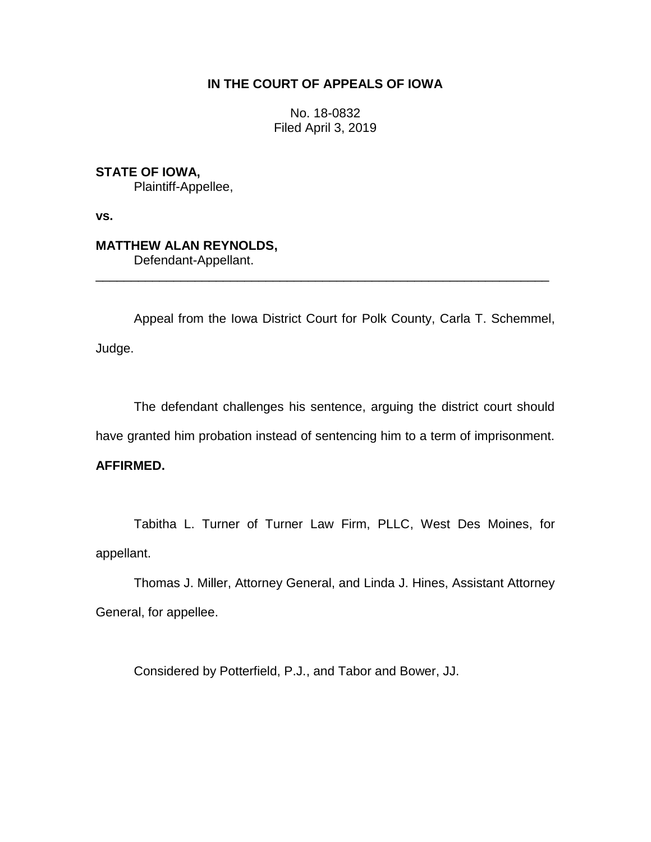## **IN THE COURT OF APPEALS OF IOWA**

No. 18-0832 Filed April 3, 2019

**STATE OF IOWA,** Plaintiff-Appellee,

**vs.**

**MATTHEW ALAN REYNOLDS,** Defendant-Appellant.

Appeal from the Iowa District Court for Polk County, Carla T. Schemmel, Judge.

\_\_\_\_\_\_\_\_\_\_\_\_\_\_\_\_\_\_\_\_\_\_\_\_\_\_\_\_\_\_\_\_\_\_\_\_\_\_\_\_\_\_\_\_\_\_\_\_\_\_\_\_\_\_\_\_\_\_\_\_\_\_\_\_

The defendant challenges his sentence, arguing the district court should have granted him probation instead of sentencing him to a term of imprisonment.

## **AFFIRMED.**

Tabitha L. Turner of Turner Law Firm, PLLC, West Des Moines, for appellant.

Thomas J. Miller, Attorney General, and Linda J. Hines, Assistant Attorney General, for appellee.

Considered by Potterfield, P.J., and Tabor and Bower, JJ.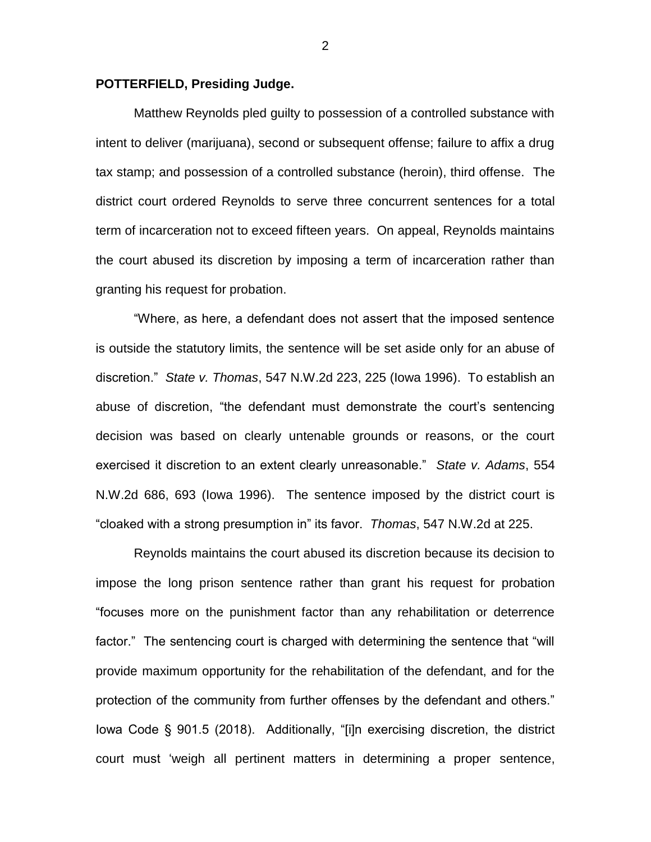## **POTTERFIELD, Presiding Judge.**

Matthew Reynolds pled guilty to possession of a controlled substance with intent to deliver (marijuana), second or subsequent offense; failure to affix a drug tax stamp; and possession of a controlled substance (heroin), third offense. The district court ordered Reynolds to serve three concurrent sentences for a total term of incarceration not to exceed fifteen years. On appeal, Reynolds maintains the court abused its discretion by imposing a term of incarceration rather than granting his request for probation.

"Where, as here, a defendant does not assert that the imposed sentence is outside the statutory limits, the sentence will be set aside only for an abuse of discretion." *State v. Thomas*, 547 N.W.2d 223, 225 (Iowa 1996). To establish an abuse of discretion, "the defendant must demonstrate the court's sentencing decision was based on clearly untenable grounds or reasons, or the court exercised it discretion to an extent clearly unreasonable." *State v. Adams*, 554 N.W.2d 686, 693 (Iowa 1996). The sentence imposed by the district court is "cloaked with a strong presumption in" its favor. *Thomas*, 547 N.W.2d at 225.

Reynolds maintains the court abused its discretion because its decision to impose the long prison sentence rather than grant his request for probation "focuses more on the punishment factor than any rehabilitation or deterrence factor." The sentencing court is charged with determining the sentence that "will provide maximum opportunity for the rehabilitation of the defendant, and for the protection of the community from further offenses by the defendant and others." Iowa Code § 901.5 (2018). Additionally, "[i]n exercising discretion, the district court must 'weigh all pertinent matters in determining a proper sentence,

2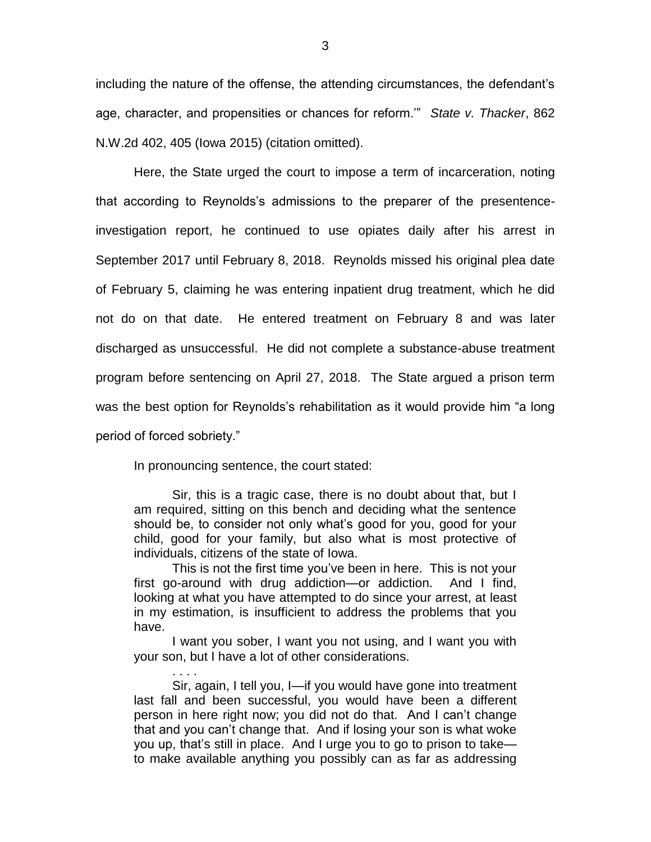including the nature of the offense, the attending circumstances, the defendant's age, character, and propensities or chances for reform.'" *State v. Thacker*, 862 N.W.2d 402, 405 (Iowa 2015) (citation omitted).

Here, the State urged the court to impose a term of incarceration, noting that according to Reynolds's admissions to the preparer of the presentenceinvestigation report, he continued to use opiates daily after his arrest in September 2017 until February 8, 2018. Reynolds missed his original plea date of February 5, claiming he was entering inpatient drug treatment, which he did not do on that date. He entered treatment on February 8 and was later discharged as unsuccessful. He did not complete a substance-abuse treatment program before sentencing on April 27, 2018. The State argued a prison term was the best option for Reynolds's rehabilitation as it would provide him "a long period of forced sobriety."

In pronouncing sentence, the court stated:

. . . .

Sir, this is a tragic case, there is no doubt about that, but I am required, sitting on this bench and deciding what the sentence should be, to consider not only what's good for you, good for your child, good for your family, but also what is most protective of individuals, citizens of the state of Iowa.

This is not the first time you've been in here. This is not your first go-around with drug addiction—or addiction. And I find, looking at what you have attempted to do since your arrest, at least in my estimation, is insufficient to address the problems that you have.

I want you sober, I want you not using, and I want you with your son, but I have a lot of other considerations.

Sir, again, I tell you, I—if you would have gone into treatment last fall and been successful, you would have been a different person in here right now; you did not do that. And I can't change that and you can't change that. And if losing your son is what woke you up, that's still in place. And I urge you to go to prison to take to make available anything you possibly can as far as addressing